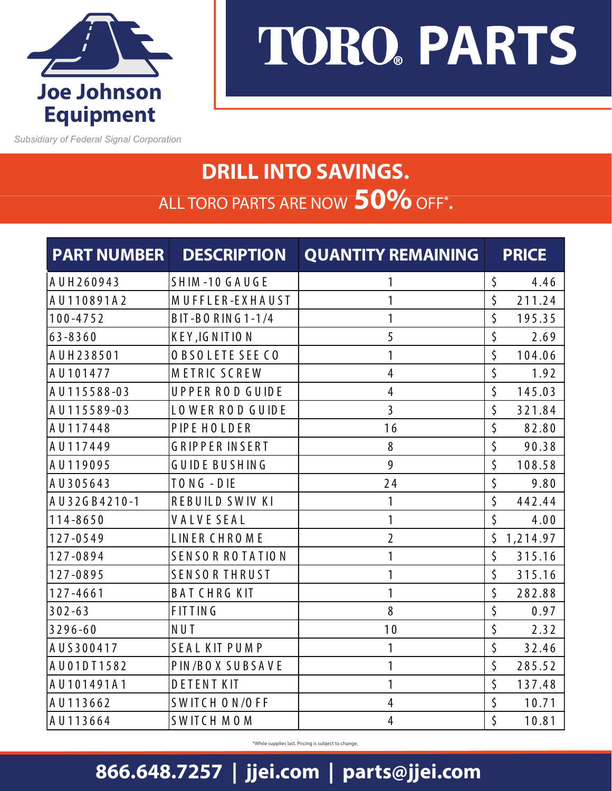

*Subsidiary of Federal Signal Corporation* 

## **TORO. PARTS**

## **DRILL INTO SAVINGS.** ALL TORO PARTS ARE NOW **50%**OFF**\* .**

| <b>PART NUMBER</b>  | <b>DESCRIPTION</b>     | <b>QUANTITY REMAINING</b> | <b>PRICE</b>   |
|---------------------|------------------------|---------------------------|----------------|
| AUH260943           | SHIM-10 GAUGE          | 1                         | \$<br>4.46     |
| AU110891A2          | MUFFLER-EXHAUST        | 1                         | \$<br>211.24   |
| $100 - 4752$        | BIT-BORING1-1/4        | $\mathbf{1}$              | \$<br>195.35   |
| $63 - 8360$         | KEY, IGNITION          | 5                         | \$<br>2.69     |
| AUH238501           | <b>OBSOLETE SEE CO</b> | 1                         | \$<br>104.06   |
| AU101477            | METRIC SCREW           | $\overline{4}$            | \$<br>1.92     |
| AU115588-03         | UPPER ROD GUIDE        | 4                         | \$<br>145.03   |
| AU115589-03         | LOWER ROD GUIDE        | $\overline{3}$            | \$<br>321.84   |
| AU117448            | PIPE HOLDER            | 16                        | \$<br>82.80    |
| AU117449            | <b>GRIPPER INSERT</b>  | 8                         | \$<br>90.38    |
| AU119095            | <b>GUIDE BUSHING</b>   | 9                         | \$<br>108.58   |
| AU305643            | TONG-DIE               | 24                        | \$<br>9.80     |
| AU32GB4210-1        | <b>REBUILD SWIV KI</b> | 1                         | \$<br>442.44   |
| $114 - 8650$        | <b>VALVESEAL</b>       | 1                         | \$<br>4.00     |
| $127 - 0549$        | <b>LINER CHROME</b>    | $\overline{2}$            | \$<br>1,214.97 |
| 127-0894            | SENSOR ROTATION        | 1                         | \$<br>315.16   |
| 127-0895            | <b>SENSORTHRUST</b>    | 1                         | \$<br>315.16   |
| $127 - 4661$        | <b>BATCHRGKIT</b>      | 1                         | \$<br>282.88   |
| $302 - 63$          | <b>FITTING</b>         | 8                         | \$<br>0.97     |
| $3296 - 60$         | NUT                    | 10                        | \$<br>2.32     |
| AUS300417           | <b>SEAL KIT PUMP</b>   | 1                         | \$<br>32.46    |
| A U 0 1 D T 1 5 8 2 | PIN/BOX SUBSAVE        | 1                         | \$<br>285.52   |
| AU101491A1          | <b>DETENT KIT</b>      | 1                         | \$<br>137.48   |
| AU113662            | SWITCH ON/OFF          | 4                         | \$<br>10.71    |
| AU113664            | <b>SWITCH MOM</b>      | $\overline{4}$            | \$<br>10.81    |

\*While supplies last. Pricing is subject to change.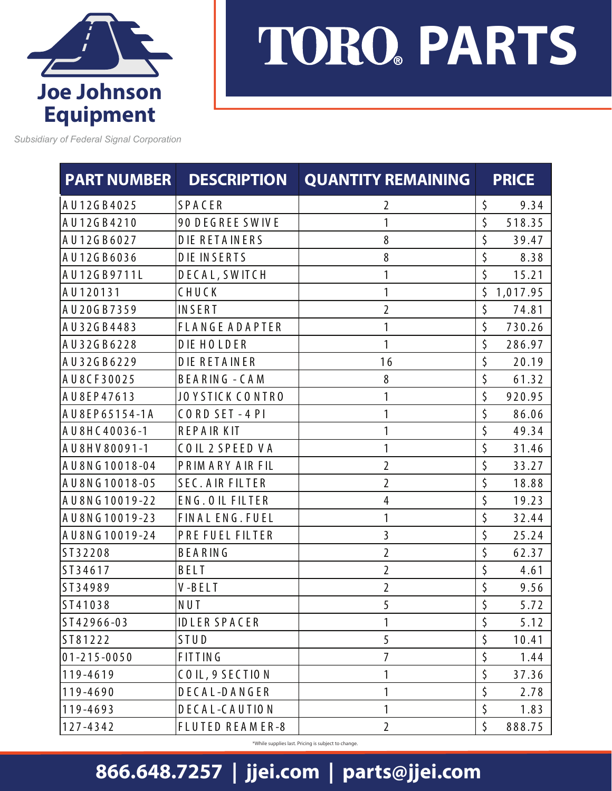

## **TORO PARTS**

*Subsidiary of Federal Signal Corporation* 

| <b>PART NUMBER</b> | <b>DESCRIPTION</b>     | <b>QUANTITY REMAINING</b> | <b>PRICE</b>   |
|--------------------|------------------------|---------------------------|----------------|
| AU12GB4025         | SPACER                 | 2                         | \$<br>9.34     |
| AU12GB4210         | 90 DEGREE SWIVE        | 1                         | \$<br>518.35   |
| AU12GB6027         | <b>DIE RETAINERS</b>   | 8                         | \$<br>39.47    |
| AU12GB6036         | <b>DIE INSERTS</b>     | 8                         | \$<br>8.38     |
| AU12GB9711L        | DECAL, SWITCH          | 1                         | \$<br>15.21    |
| AU120131           | CHUCK                  | 1                         | \$<br>1,017.95 |
| AU20GB7359         | INSERT                 | $\overline{2}$            | \$<br>74.81    |
| AU32GB4483         | <b>FLANGE ADAPTER</b>  | 1                         | \$<br>730.26   |
| AU32GB6228         | <b>DIE HOLDER</b>      | 1                         | \$<br>286.97   |
| AU32GB6229         | <b>DIE RETAINER</b>    | 16                        | \$<br>20.19    |
| AU8CF30025         | <b>BEARING - CAM</b>   | 8                         | \$<br>61.32    |
| AU8EP47613         | JOYSTICK CONTRO        | 1                         | \$<br>920.95   |
| AU8EP65154-1A      | CORD SET-4 PI          | 1                         | \$<br>86.06    |
| AU8HC40036-1       | <b>REPAIRKIT</b>       | 1                         | \$<br>49.34    |
| AU8HV80091-1       | COIL 2 SPEED VA        | 1                         | \$<br>31.46    |
| AU8NG10018-04      | PRIMARY AIR FIL        | $\overline{2}$            | \$<br>33.27    |
| AU8NG10018-05      | <b>SEC. AIR FILTER</b> | $\overline{2}$            | \$<br>18.88    |
| AU8NG10019-22      | ENG. OIL FILTER        | 4                         | \$<br>19.23    |
| A U 8 N G 10019-23 | FINAL ENG. FUEL        | 1                         | \$<br>32.44    |
| AU8NG10019-24      | PRE FUEL FILTER        | 3                         | \$<br>25.24    |
| ST32208            | BEARING                | $\overline{2}$            | \$<br>62.37    |
| ST34617            | BELT                   | $\overline{2}$            | \$<br>4.61     |
| ST34989            | V-BELT                 | $\overline{2}$            | \$<br>9.56     |
| ST41038            | NUT                    | 5                         | \$<br>5.72     |
| ST42966-03         | <b>IDLER SPACER</b>    | 1                         | \$<br>5.12     |
| ST81222            | STUD                   | 5                         | \$<br>10.41    |
| $01 - 215 - 0050$  | <b>FITTING</b>         | 7                         | \$<br>1.44     |
| 119-4619           | COIL, 9 SECTION        | 1                         | \$<br>37.36    |
| 119-4690           | DECAL-DANGER           | 1                         | \$<br>2.78     |
| 119-4693           | DECAL-CAUTION          | 1                         | \$<br>1.83     |
| 127-4342           | FLUTED REAMER-8        | $\overline{2}$            | \$<br>888.75   |

\*While supplies last. Pricing is subject to change.